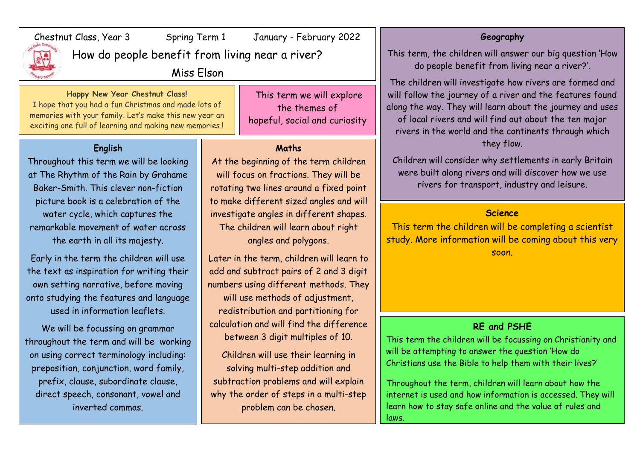

# Chestnut Class, Year 3 Spring Term 1 January - February 2022

How do people benefit from living near a river?

Miss Elson

### **Happy New Year Chestnut Class!**

I hope that you had a fun Christmas and made lots of memories with your family. Let's make this new year an exciting one full of learning and making new memories.!

## **English**

Throughout this term we will be looking at The Rhythm of the Rain by Grahame Baker-Smith. This clever non-fiction picture book is a celebration of the water cycle, which captures the remarkable movement of water across the earth in all its majesty.

Early in the term the children will use the text as inspiration for writing their own setting narrative, before moving onto studying the features and language used in information leaflets.

We will be focussing on grammar throughout the term and will be working on using correct terminology including: preposition, conjunction, word family, prefix, clause, subordinate clause, direct speech, consonant, vowel and inverted commas.

This term we will explore the themes of hopeful, social and curiosity

#### **Maths**

At the beginning of the term children will focus on fractions. They will be rotating two lines around a fixed point to make different sized angles and will investigate angles in different shapes. The children will learn about right angles and polygons.

Later in the term, children will learn to add and subtract pairs of 2 and 3 digit numbers using different methods. They will use methods of adjustment, redistribution and partitioning for calculation and will find the difference between 3 digit multiples of 10.

Children will use their learning in solving multi-step addition and subtraction problems and will explain why the order of steps in a multi-step problem can be chosen.

#### **Geography**

This term, the children will answer our big question 'How do people benefit from living near a river?'.

The children will investigate how rivers are formed and will follow the journey of a river and the features found along the way. They will learn about the journey and uses of local rivers and will find out about the ten major rivers in the world and the continents through which they flow.

Children will consider why settlements in early Britain were built along rivers and will discover how we use rivers for transport, industry and leisure.

#### **Science**

This term the children will be completing a scientist study. More information will be coming about this very soon.

#### **RE and PSHE**

This term the children will be focussing on Christianity and will be attempting to answer the question 'How do Christians use the Bible to help them with their lives?'

Throughout the term, children will learn about how the internet is used and how information is accessed. They will learn how to stay safe online and the value of rules and laws.